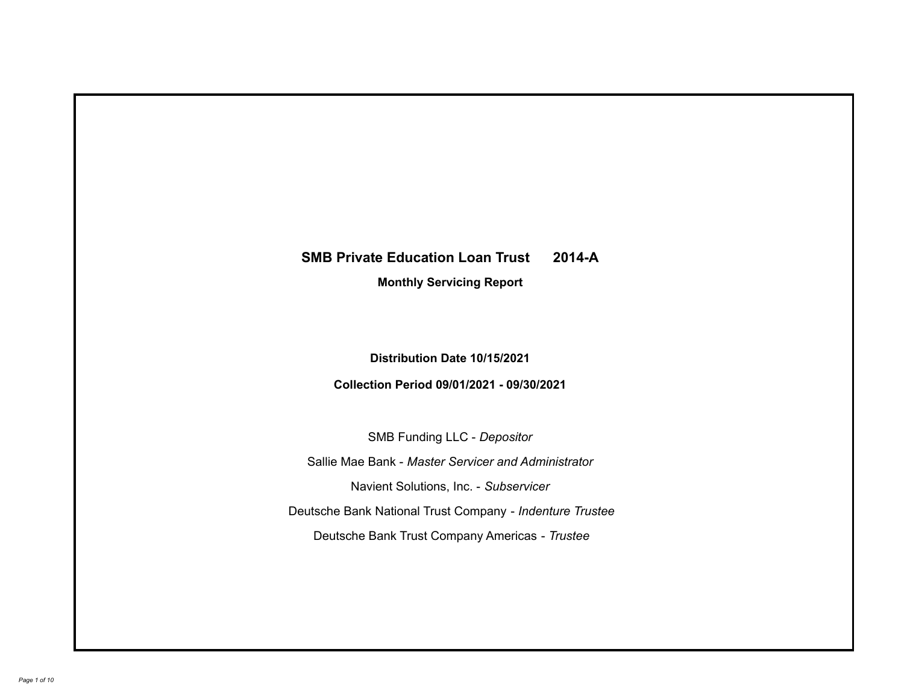# **SMB Private Education Loan Trust 2014-A**

**Monthly Servicing Report**

**Distribution Date 10/15/2021**

**Collection Period 09/01/2021 - 09/30/2021**

SMB Funding LLC - *Depositor*

Sallie Mae Bank - *Master Servicer and Administrator*

Navient Solutions, Inc. - *Subservicer*

Deutsche Bank National Trust Company - *Indenture Trustee*

Deutsche Bank Trust Company Americas - *Trustee*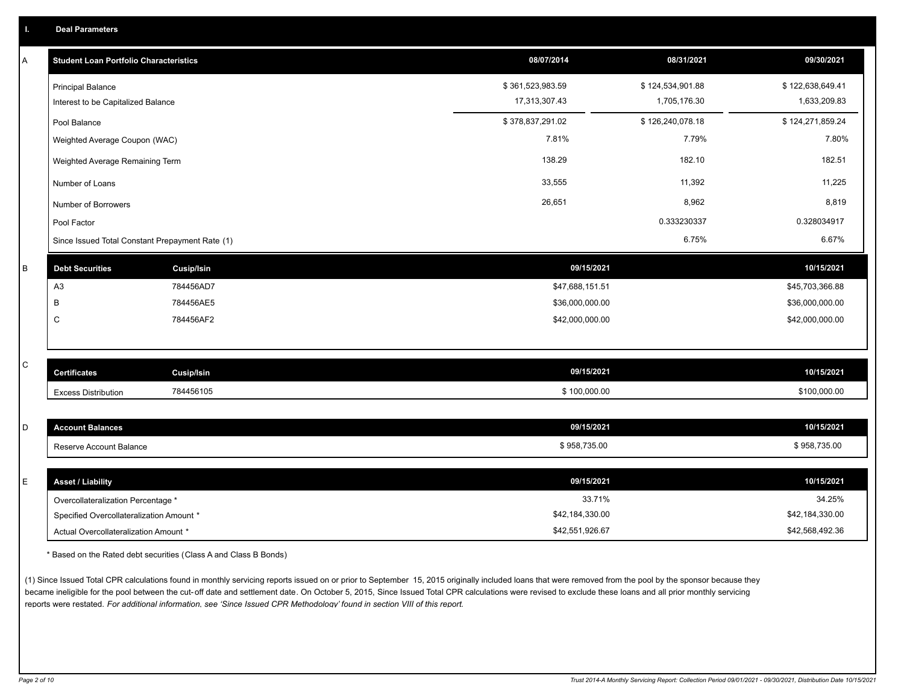| Α | <b>Student Loan Portfolio Characteristics</b>   |                   | 08/07/2014       | 08/31/2021       | 09/30/2021       |
|---|-------------------------------------------------|-------------------|------------------|------------------|------------------|
|   | <b>Principal Balance</b>                        |                   | \$361,523,983.59 | \$124,534,901.88 | \$122,638,649.41 |
|   | Interest to be Capitalized Balance              |                   | 17,313,307.43    | 1,705,176.30     | 1,633,209.83     |
|   | Pool Balance                                    |                   | \$378,837,291.02 | \$126,240,078.18 | \$124,271,859.24 |
|   | Weighted Average Coupon (WAC)                   |                   | 7.81%            | 7.79%            | 7.80%            |
|   | Weighted Average Remaining Term                 |                   | 138.29           | 182.10           | 182.51           |
|   | Number of Loans                                 |                   | 33,555           | 11,392           | 11,225           |
|   | Number of Borrowers                             |                   | 26,651           | 8,962            | 8,819            |
|   | Pool Factor                                     |                   |                  | 0.333230337      | 0.328034917      |
|   | Since Issued Total Constant Prepayment Rate (1) |                   |                  | 6.75%            | 6.67%            |
| B | <b>Debt Securities</b>                          | <b>Cusip/Isin</b> | 09/15/2021       |                  | 10/15/2021       |
|   | A <sub>3</sub>                                  | 784456AD7         | \$47,688,151.51  |                  | \$45,703,366.88  |
|   | B                                               | 784456AE5         | \$36,000,000.00  |                  | \$36,000,000.00  |
|   | C                                               | 784456AF2         | \$42,000,000.00  |                  | \$42,000,000.00  |
|   |                                                 |                   |                  |                  |                  |
| C | <b>Certificates</b>                             | <b>Cusip/Isin</b> | 09/15/2021       |                  | 10/15/2021       |
|   | <b>Excess Distribution</b>                      | 784456105         | \$100,000.00     |                  | \$100,000.00     |
|   |                                                 |                   |                  |                  |                  |
| D | <b>Account Balances</b>                         |                   | 09/15/2021       |                  | 10/15/2021       |
|   | Reserve Account Balance                         |                   | \$958,735.00     |                  | \$958,735.00     |
|   |                                                 |                   |                  |                  |                  |
| E | <b>Asset / Liability</b>                        |                   | 09/15/2021       |                  | 10/15/2021       |
|   | Overcollateralization Percentage *              |                   | 33.71%           |                  | 34.25%           |
|   | Specified Overcollateralization Amount *        |                   | \$42,184,330.00  |                  | \$42,184,330.00  |

\* Based on the Rated debt securities (Class A and Class B Bonds)

(1) Since Issued Total CPR calculations found in monthly servicing reports issued on or prior to September 15, 2015 originally included loans that were removed from the pool by the sponsor because they became ineligible for the pool between the cut-off date and settlement date. On October 5, 2015, Since Issued Total CPR calculations were revised to exclude these loans and all prior monthly servicing reports were restated. *For additional information, see 'Since Issued CPR Methodology' found in section VIII of this report.*

Actual Overcollateralization Amount \* \$42,551,926.67

\$42,568,492.36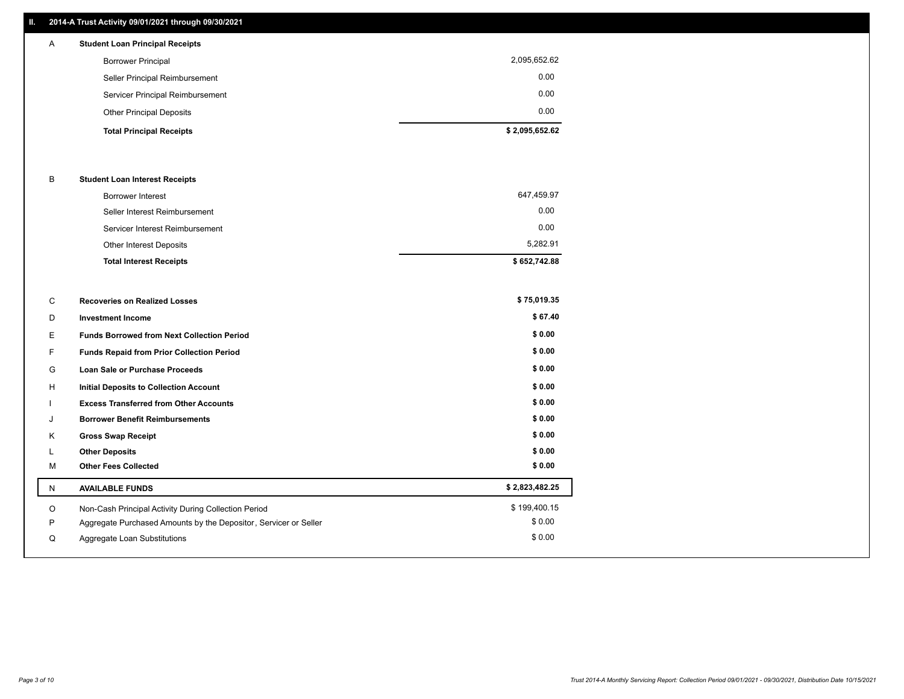### **II. 2014-A Trust Activity 09/01/2021 through 09/30/2021**

| A | <b>Student Loan Principal Receipts</b> |                |
|---|----------------------------------------|----------------|
|   | <b>Borrower Principal</b>              | 2,095,652.62   |
|   | Seller Principal Reimbursement         | 0.00           |
|   | Servicer Principal Reimbursement       | 0.00           |
|   | <b>Other Principal Deposits</b>        | 0.00           |
|   | <b>Total Principal Receipts</b>        | \$2,095,652.62 |

#### B **Student Loan Interest Receipts**

| <b>Total Interest Receipts</b>  | \$652,742.88 |
|---------------------------------|--------------|
| Other Interest Deposits         | 5.282.91     |
| Servicer Interest Reimbursement | 0.00         |
| Seller Interest Reimbursement   | 0.00         |
| <b>Borrower Interest</b>        | 647,459.97   |

| C | <b>Recoveries on Realized Losses</b>                             | \$75,019.35    |
|---|------------------------------------------------------------------|----------------|
| D | <b>Investment Income</b>                                         | \$67.40        |
| E | <b>Funds Borrowed from Next Collection Period</b>                | \$0.00         |
| F | Funds Repaid from Prior Collection Period                        | \$0.00         |
| G | <b>Loan Sale or Purchase Proceeds</b>                            | \$0.00         |
| H | <b>Initial Deposits to Collection Account</b>                    | \$0.00         |
|   | <b>Excess Transferred from Other Accounts</b>                    | \$0.00         |
| J | <b>Borrower Benefit Reimbursements</b>                           | \$0.00         |
| Κ | <b>Gross Swap Receipt</b>                                        | \$0.00         |
|   | <b>Other Deposits</b>                                            | \$0.00         |
| M | <b>Other Fees Collected</b>                                      | \$0.00         |
| N | <b>AVAILABLE FUNDS</b>                                           | \$2,823,482.25 |
| O | Non-Cash Principal Activity During Collection Period             | \$199,400.15   |
| P | Aggregate Purchased Amounts by the Depositor, Servicer or Seller | \$0.00         |
| Q | Aggregate Loan Substitutions                                     | \$0.00         |
|   |                                                                  |                |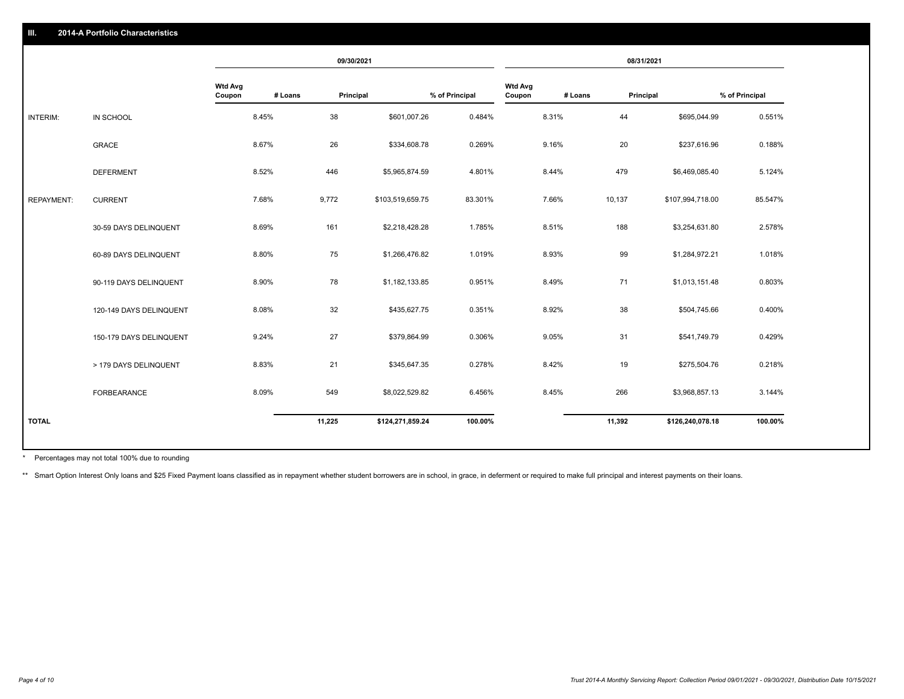|                   |                         | 09/30/2021               |         |           | 08/31/2021       |                |                          |         |           |                  |                |
|-------------------|-------------------------|--------------------------|---------|-----------|------------------|----------------|--------------------------|---------|-----------|------------------|----------------|
|                   |                         | <b>Wtd Avg</b><br>Coupon | # Loans | Principal |                  | % of Principal | <b>Wtd Avg</b><br>Coupon | # Loans | Principal |                  | % of Principal |
| INTERIM:          | IN SCHOOL               |                          | 8.45%   | 38        | \$601,007.26     | 0.484%         |                          | 8.31%   | 44        | \$695,044.99     | 0.551%         |
|                   | <b>GRACE</b>            |                          | 8.67%   | 26        | \$334,608.78     | 0.269%         |                          | 9.16%   | 20        | \$237,616.96     | 0.188%         |
|                   | <b>DEFERMENT</b>        |                          | 8.52%   | 446       | \$5,965,874.59   | 4.801%         |                          | 8.44%   | 479       | \$6,469,085.40   | 5.124%         |
| <b>REPAYMENT:</b> | <b>CURRENT</b>          |                          | 7.68%   | 9,772     | \$103,519,659.75 | 83.301%        |                          | 7.66%   | 10,137    | \$107,994,718.00 | 85.547%        |
|                   | 30-59 DAYS DELINQUENT   |                          | 8.69%   | 161       | \$2,218,428.28   | 1.785%         |                          | 8.51%   | 188       | \$3,254,631.80   | 2.578%         |
|                   | 60-89 DAYS DELINQUENT   |                          | 8.80%   | 75        | \$1,266,476.82   | 1.019%         |                          | 8.93%   | 99        | \$1,284,972.21   | 1.018%         |
|                   | 90-119 DAYS DELINQUENT  |                          | 8.90%   | 78        | \$1,182,133.85   | 0.951%         |                          | 8.49%   | 71        | \$1,013,151.48   | 0.803%         |
|                   | 120-149 DAYS DELINQUENT |                          | 8.08%   | 32        | \$435,627.75     | 0.351%         |                          | 8.92%   | 38        | \$504,745.66     | 0.400%         |
|                   | 150-179 DAYS DELINQUENT |                          | 9.24%   | 27        | \$379,864.99     | 0.306%         |                          | 9.05%   | 31        | \$541,749.79     | 0.429%         |
|                   | > 179 DAYS DELINQUENT   |                          | 8.83%   | 21        | \$345,647.35     | 0.278%         |                          | 8.42%   | 19        | \$275,504.76     | 0.218%         |
|                   | FORBEARANCE             |                          | 8.09%   | 549       | \$8,022,529.82   | 6.456%         |                          | 8.45%   | 266       | \$3,968,857.13   | 3.144%         |
| <b>TOTAL</b>      |                         |                          |         | 11,225    | \$124,271,859.24 | 100.00%        |                          |         | 11,392    | \$126,240,078.18 | 100.00%        |
|                   |                         |                          |         |           |                  |                |                          |         |           |                  |                |

Percentages may not total 100% due to rounding \*

\*\* Smart Option Interest Only loans and \$25 Fixed Payment loans classified as in repayment whether student borrowers are in school, in grace, in deferment or required to make full principal and interest payments on their l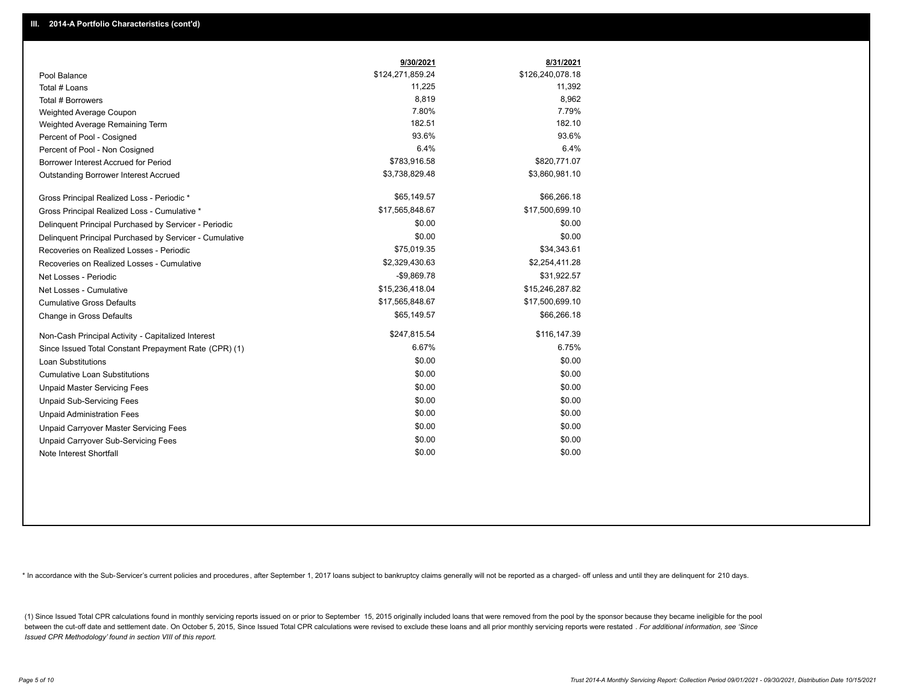|                                                         | 9/30/2021        | 8/31/2021        |
|---------------------------------------------------------|------------------|------------------|
| Pool Balance                                            | \$124,271,859.24 | \$126,240,078.18 |
| Total # Loans                                           | 11,225           | 11,392           |
| Total # Borrowers                                       | 8,819            | 8,962            |
| Weighted Average Coupon                                 | 7.80%            | 7.79%            |
| Weighted Average Remaining Term                         | 182.51           | 182.10           |
| Percent of Pool - Cosigned                              | 93.6%            | 93.6%            |
| Percent of Pool - Non Cosigned                          | 6.4%             | 6.4%             |
| Borrower Interest Accrued for Period                    | \$783,916.58     | \$820,771.07     |
| Outstanding Borrower Interest Accrued                   | \$3,738,829.48   | \$3,860,981.10   |
| Gross Principal Realized Loss - Periodic *              | \$65,149.57      | \$66,266.18      |
| Gross Principal Realized Loss - Cumulative *            | \$17,565,848.67  | \$17,500,699.10  |
| Delinquent Principal Purchased by Servicer - Periodic   | \$0.00           | \$0.00           |
| Delinquent Principal Purchased by Servicer - Cumulative | \$0.00           | \$0.00           |
| Recoveries on Realized Losses - Periodic                | \$75,019.35      | \$34,343.61      |
| Recoveries on Realized Losses - Cumulative              | \$2,329,430.63   | \$2,254,411.28   |
| Net Losses - Periodic                                   | $-$9,869.78$     | \$31,922.57      |
| Net Losses - Cumulative                                 | \$15,236,418.04  | \$15,246,287.82  |
| <b>Cumulative Gross Defaults</b>                        | \$17,565,848.67  | \$17,500,699.10  |
| Change in Gross Defaults                                | \$65,149.57      | \$66,266.18      |
| Non-Cash Principal Activity - Capitalized Interest      | \$247,815.54     | \$116,147.39     |
| Since Issued Total Constant Prepayment Rate (CPR) (1)   | 6.67%            | 6.75%            |
| <b>Loan Substitutions</b>                               | \$0.00           | \$0.00           |
| <b>Cumulative Loan Substitutions</b>                    | \$0.00           | \$0.00           |
| <b>Unpaid Master Servicing Fees</b>                     | \$0.00           | \$0.00           |
| <b>Unpaid Sub-Servicing Fees</b>                        | \$0.00           | \$0.00           |
| <b>Unpaid Administration Fees</b>                       | \$0.00           | \$0.00           |
| Unpaid Carryover Master Servicing Fees                  | \$0.00           | \$0.00           |
| Unpaid Carryover Sub-Servicing Fees                     | \$0.00           | \$0.00           |
| Note Interest Shortfall                                 | \$0.00           | \$0.00           |

\* In accordance with the Sub-Servicer's current policies and procedures, after September 1, 2017 loans subject to bankruptcy claims generally will not be reported as a charged- off unless and until they are delinquent for

(1) Since Issued Total CPR calculations found in monthly servicing reports issued on or prior to September 15, 2015 originally included loans that were removed from the pool by the sponsor because they became ineligible fo between the cut-off date and settlement date. On October 5, 2015, Since Issued Total CPR calculations were revised to exclude these loans and all prior monthly servicing reports were restated . For additional information, *Issued CPR Methodology' found in section VIII of this report.*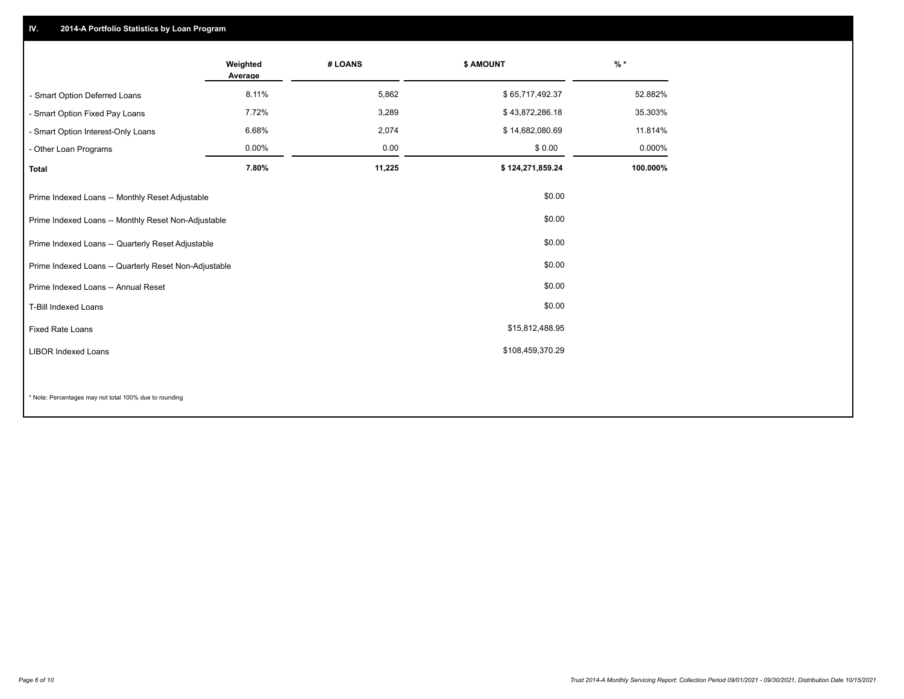## **IV. 2014-A Portfolio Statistics by Loan Program**

|                                                       | Weighted<br>Average | # LOANS | \$ AMOUNT        | $%$ *    |
|-------------------------------------------------------|---------------------|---------|------------------|----------|
| - Smart Option Deferred Loans                         | 8.11%               | 5,862   | \$65,717,492.37  | 52.882%  |
| - Smart Option Fixed Pay Loans                        | 7.72%               | 3,289   | \$43,872,286.18  | 35.303%  |
| - Smart Option Interest-Only Loans                    | 6.68%               | 2,074   | \$14,682,080.69  | 11.814%  |
| - Other Loan Programs                                 | 0.00%               | 0.00    | \$0.00           | 0.000%   |
| <b>Total</b>                                          | 7.80%               | 11,225  | \$124,271,859.24 | 100.000% |
| Prime Indexed Loans -- Monthly Reset Adjustable       |                     |         | \$0.00           |          |
| Prime Indexed Loans -- Monthly Reset Non-Adjustable   |                     |         | \$0.00           |          |
| Prime Indexed Loans -- Quarterly Reset Adjustable     |                     |         | \$0.00           |          |
| Prime Indexed Loans -- Quarterly Reset Non-Adjustable |                     |         | \$0.00           |          |
| Prime Indexed Loans -- Annual Reset                   |                     |         | \$0.00           |          |
| T-Bill Indexed Loans                                  |                     |         | \$0.00           |          |
| <b>Fixed Rate Loans</b>                               |                     |         | \$15,812,488.95  |          |
| <b>LIBOR Indexed Loans</b>                            |                     |         | \$108,459,370.29 |          |
|                                                       |                     |         |                  |          |

\* Note: Percentages may not total 100% due to rounding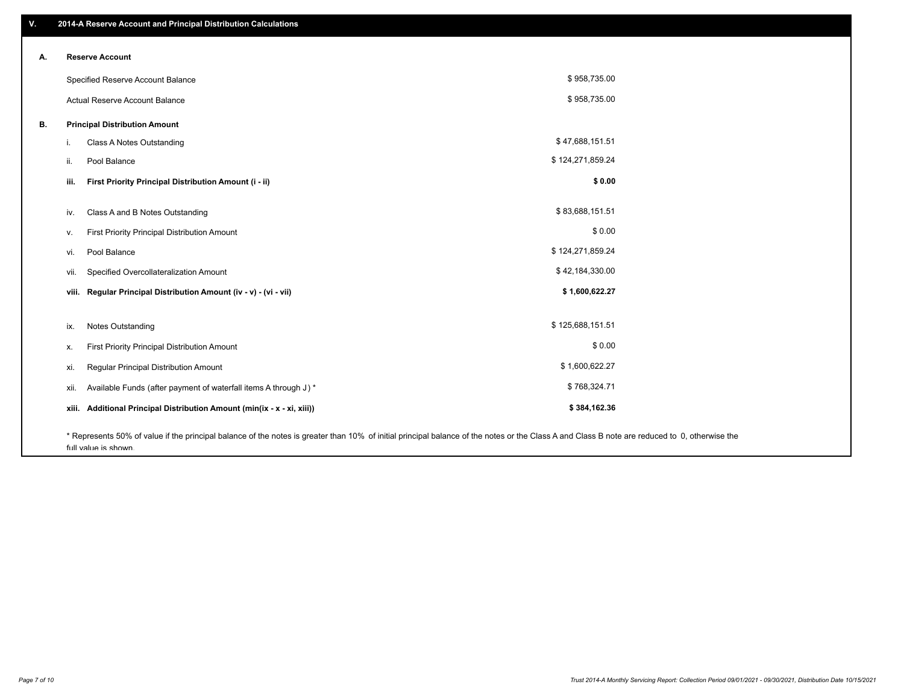| ۷. | 2014-A Reserve Account and Principal Distribution Calculations                                                                                                                                |                  |  |
|----|-----------------------------------------------------------------------------------------------------------------------------------------------------------------------------------------------|------------------|--|
|    | <b>Reserve Account</b>                                                                                                                                                                        |                  |  |
| А. |                                                                                                                                                                                               |                  |  |
|    | Specified Reserve Account Balance                                                                                                                                                             | \$958,735.00     |  |
|    | Actual Reserve Account Balance                                                                                                                                                                | \$958,735.00     |  |
| В. | <b>Principal Distribution Amount</b>                                                                                                                                                          |                  |  |
|    | Class A Notes Outstanding<br>i.                                                                                                                                                               | \$47,688,151.51  |  |
|    | Pool Balance<br>ii.                                                                                                                                                                           | \$124,271,859.24 |  |
|    | First Priority Principal Distribution Amount (i - ii)<br>iii.                                                                                                                                 | \$0.00           |  |
|    |                                                                                                                                                                                               |                  |  |
|    | Class A and B Notes Outstanding<br>iv.                                                                                                                                                        | \$83,688,151.51  |  |
|    | First Priority Principal Distribution Amount<br>ν.                                                                                                                                            | \$0.00           |  |
|    | Pool Balance<br>vi.                                                                                                                                                                           | \$124,271,859.24 |  |
|    | Specified Overcollateralization Amount<br>vii.                                                                                                                                                | \$42,184,330.00  |  |
|    | Regular Principal Distribution Amount (iv - v) - (vi - vii)<br>viii.                                                                                                                          | \$1,600,622.27   |  |
|    | <b>Notes Outstanding</b>                                                                                                                                                                      | \$125,688,151.51 |  |
|    | ix.                                                                                                                                                                                           |                  |  |
|    | First Priority Principal Distribution Amount<br>х.                                                                                                                                            | \$0.00           |  |
|    | Regular Principal Distribution Amount<br>xi.                                                                                                                                                  | \$1,600,622.27   |  |
|    | Available Funds (after payment of waterfall items A through J) *<br>xii.                                                                                                                      | \$768,324.71     |  |
|    | Additional Principal Distribution Amount (min(ix - x - xi, xiii))<br>xiii.                                                                                                                    | \$384,162.36     |  |
|    | * Represents 50% of value if the principal balance of the notes is greater than 10% of initial principal balance of the notes or the Class A and Class B note are reduced to 0, otherwise the |                  |  |

full value is shown.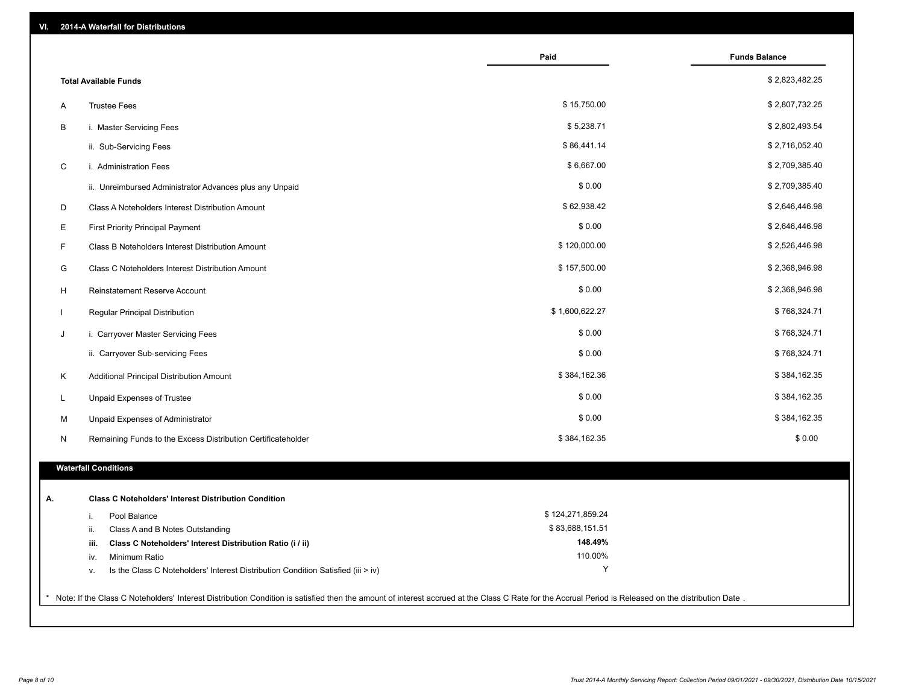| 2014-A Waterfall for Distributions<br>VI.                                                                                                                                                             |                            |                      |
|-------------------------------------------------------------------------------------------------------------------------------------------------------------------------------------------------------|----------------------------|----------------------|
|                                                                                                                                                                                                       | Paid                       | <b>Funds Balance</b> |
| <b>Total Available Funds</b>                                                                                                                                                                          |                            | \$2,823,482.25       |
| <b>Trustee Fees</b><br>Α                                                                                                                                                                              | \$15,750.00                | \$2,807,732.25       |
| В<br>i. Master Servicing Fees                                                                                                                                                                         | \$5,238.71                 | \$2,802,493.54       |
| ii. Sub-Servicing Fees                                                                                                                                                                                | \$86,441.14                | \$2,716,052.40       |
| C<br>i. Administration Fees                                                                                                                                                                           | \$6,667.00                 | \$2,709,385.40       |
| ii. Unreimbursed Administrator Advances plus any Unpaid                                                                                                                                               | \$0.00                     | \$2,709,385.40       |
| D<br>Class A Noteholders Interest Distribution Amount                                                                                                                                                 | \$62,938.42                | \$2,646,446.98       |
| E<br><b>First Priority Principal Payment</b>                                                                                                                                                          | \$0.00                     | \$2,646,446.98       |
| F.<br>Class B Noteholders Interest Distribution Amount                                                                                                                                                | \$120,000.00               | \$2,526,446.98       |
| G<br>Class C Noteholders Interest Distribution Amount                                                                                                                                                 | \$157,500.00               | \$2,368,946.98       |
| н<br>Reinstatement Reserve Account                                                                                                                                                                    | \$0.00                     | \$2,368,946.98       |
| Regular Principal Distribution                                                                                                                                                                        | \$1,600,622.27             | \$768,324.71         |
| J<br>i. Carryover Master Servicing Fees                                                                                                                                                               | \$0.00                     | \$768,324.71         |
| ii. Carryover Sub-servicing Fees                                                                                                                                                                      | \$0.00                     | \$768,324.71         |
| Additional Principal Distribution Amount<br>K                                                                                                                                                         | \$384,162.36               | \$384,162.35         |
| Unpaid Expenses of Trustee<br>L                                                                                                                                                                       | \$0.00                     | \$384,162.35         |
| М<br>Unpaid Expenses of Administrator                                                                                                                                                                 | \$0.00                     | \$384,162.35         |
| Remaining Funds to the Excess Distribution Certificateholder<br>N                                                                                                                                     | \$384,162.35               | \$0.00               |
| <b>Waterfall Conditions</b>                                                                                                                                                                           |                            |                      |
|                                                                                                                                                                                                       |                            |                      |
| <b>Class C Noteholders' Interest Distribution Condition</b><br>Α.                                                                                                                                     |                            |                      |
| i.<br>Pool Balance                                                                                                                                                                                    | \$124,271,859.24           |                      |
| Class A and B Notes Outstanding<br>ii.                                                                                                                                                                | \$83,688,151.51<br>148.49% |                      |
| Class C Noteholders' Interest Distribution Ratio (i / ii)<br>iii.                                                                                                                                     | 110.00%                    |                      |
| Minimum Ratio<br>iv.<br>Is the Class C Noteholders' Interest Distribution Condition Satisfied (iii > iv)                                                                                              | Υ                          |                      |
| v.                                                                                                                                                                                                    |                            |                      |
| * Note: If the Class C Noteholders' Interest Distribution Condition is satisfied then the amount of interest accrued at the Class C Rate for the Accrual Period is Released on the distribution Date. |                            |                      |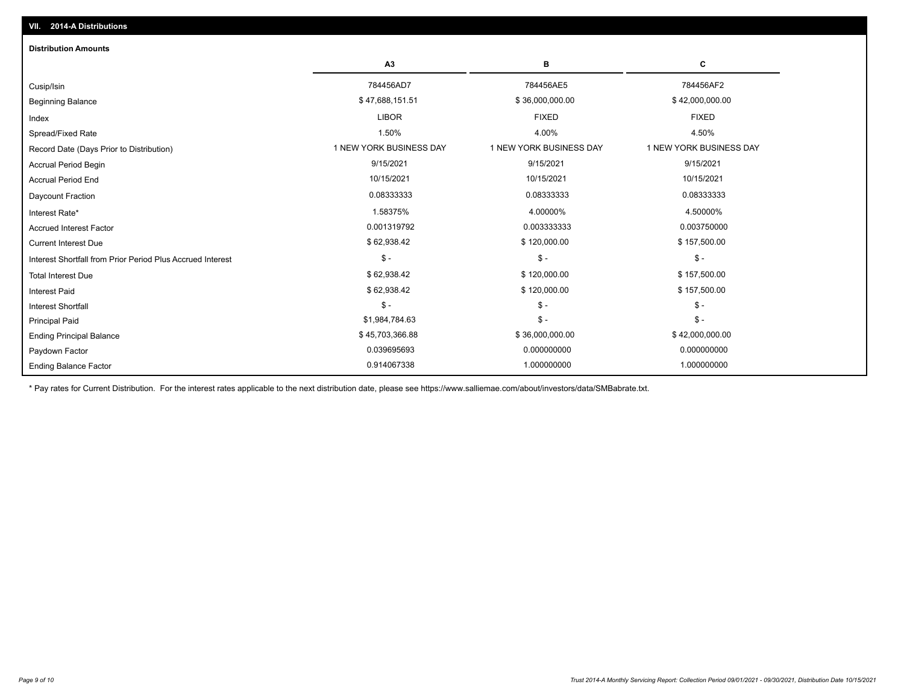| <b>Distribution Amounts</b>                                |                         |                         |                         |
|------------------------------------------------------------|-------------------------|-------------------------|-------------------------|
|                                                            | A3                      | B                       | C                       |
| Cusip/Isin                                                 | 784456AD7               | 784456AE5               | 784456AF2               |
| <b>Beginning Balance</b>                                   | \$47,688,151.51         | \$36,000,000.00         | \$42,000,000.00         |
| Index                                                      | <b>LIBOR</b>            | <b>FIXED</b>            | <b>FIXED</b>            |
| Spread/Fixed Rate                                          | 1.50%                   | 4.00%                   | 4.50%                   |
| Record Date (Days Prior to Distribution)                   | 1 NEW YORK BUSINESS DAY | 1 NEW YORK BUSINESS DAY | 1 NEW YORK BUSINESS DAY |
| Accrual Period Begin                                       | 9/15/2021               | 9/15/2021               | 9/15/2021               |
| <b>Accrual Period End</b>                                  | 10/15/2021              | 10/15/2021              | 10/15/2021              |
| Daycount Fraction                                          | 0.08333333              | 0.08333333              | 0.08333333              |
| Interest Rate*                                             | 1.58375%                | 4.00000%                | 4.50000%                |
| <b>Accrued Interest Factor</b>                             | 0.001319792             | 0.003333333             | 0.003750000             |
| <b>Current Interest Due</b>                                | \$62,938.42             | \$120,000.00            | \$157,500.00            |
| Interest Shortfall from Prior Period Plus Accrued Interest | $\mathsf{\$}$ -         | $$ -$                   | $\mathsf{\$}$ -         |
| <b>Total Interest Due</b>                                  | \$62,938.42             | \$120,000.00            | \$157,500.00            |
| <b>Interest Paid</b>                                       | \$62,938.42             | \$120,000.00            | \$157,500.00            |
| <b>Interest Shortfall</b>                                  | $\mathsf{\$}$ -         | $$ -$                   | $$ -$                   |
| <b>Principal Paid</b>                                      | \$1,984,784.63          | $$ -$                   | $\mathsf{\$}$ -         |
| <b>Ending Principal Balance</b>                            | \$45,703,366.88         | \$36,000,000.00         | \$42,000,000.00         |
| Paydown Factor                                             | 0.039695693             | 0.000000000             | 0.000000000             |
| <b>Ending Balance Factor</b>                               | 0.914067338             | 1.000000000             | 1.000000000             |

\* Pay rates for Current Distribution. For the interest rates applicable to the next distribution date, please see https://www.salliemae.com/about/investors/data/SMBabrate.txt.

**VII. 2014-A Distributions**